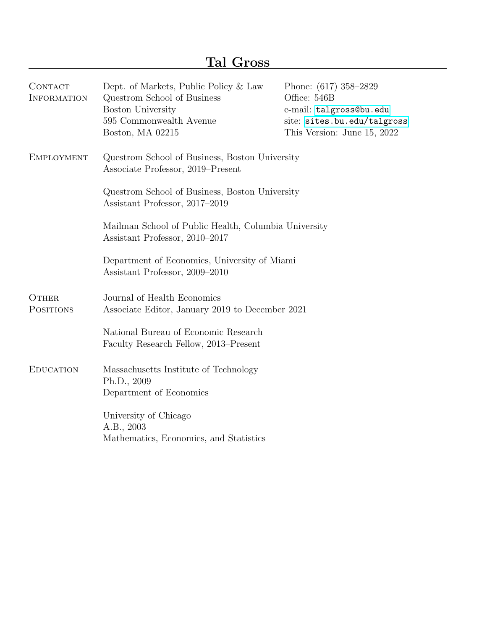## Tal Gross

| <b>CONTACT</b><br><b>INFORMATION</b> | Dept. of Markets, Public Policy & Law<br>Questrom School of Business                   | Phone: (617) 358-2829<br>Office: 546B                      |  |
|--------------------------------------|----------------------------------------------------------------------------------------|------------------------------------------------------------|--|
|                                      | Boston University<br>595 Commonwealth Avenue                                           | e-mail: talgross@bu.edu                                    |  |
|                                      | Boston, MA 02215                                                                       | site: sites.bu.edu/talgross<br>This Version: June 15, 2022 |  |
|                                      |                                                                                        |                                                            |  |
| <b>EMPLOYMENT</b>                    | Questrom School of Business, Boston University<br>Associate Professor, 2019–Present    |                                                            |  |
|                                      | Questrom School of Business, Boston University<br>Assistant Professor, 2017-2019       |                                                            |  |
|                                      | Mailman School of Public Health, Columbia University<br>Assistant Professor, 2010-2017 |                                                            |  |
|                                      | Department of Economics, University of Miami<br>Assistant Professor, 2009-2010         |                                                            |  |
| OTHER<br><b>POSITIONS</b>            | Journal of Health Economics<br>Associate Editor, January 2019 to December 2021         |                                                            |  |
|                                      | National Bureau of Economic Research<br>Faculty Research Fellow, 2013–Present          |                                                            |  |
| <b>EDUCATION</b>                     | Massachusetts Institute of Technology<br>Ph.D., 2009<br>Department of Economics        |                                                            |  |
|                                      |                                                                                        |                                                            |  |
|                                      | University of Chicago                                                                  |                                                            |  |
|                                      | A.B., 2003                                                                             |                                                            |  |
|                                      | Mathematics, Economics, and Statistics                                                 |                                                            |  |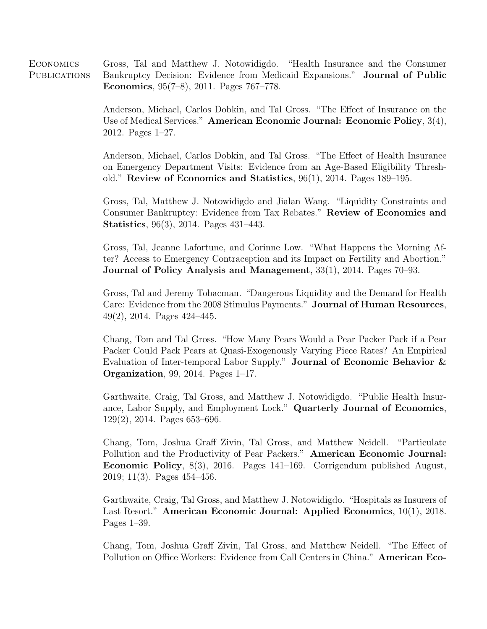Economics **PUBLICATIONS** Gross, Tal and Matthew J. Notowidigdo. "Health Insurance and the Consumer Bankruptcy Decision: Evidence from Medicaid Expansions." Journal of Public Economics, 95(7–8), 2011. Pages 767–778.

> Anderson, Michael, Carlos Dobkin, and Tal Gross. "The Effect of Insurance on the Use of Medical Services." American Economic Journal: Economic Policy, 3(4), 2012. Pages 1–27.

> Anderson, Michael, Carlos Dobkin, and Tal Gross. "The Effect of Health Insurance on Emergency Department Visits: Evidence from an Age-Based Eligibility Threshold." Review of Economics and Statistics, 96(1), 2014. Pages 189–195.

> Gross, Tal, Matthew J. Notowidigdo and Jialan Wang. "Liquidity Constraints and Consumer Bankruptcy: Evidence from Tax Rebates." Review of Economics and Statistics, 96(3), 2014. Pages 431–443.

> Gross, Tal, Jeanne Lafortune, and Corinne Low. "What Happens the Morning After? Access to Emergency Contraception and its Impact on Fertility and Abortion." Journal of Policy Analysis and Management, 33(1), 2014. Pages 70–93.

> Gross, Tal and Jeremy Tobacman. "Dangerous Liquidity and the Demand for Health Care: Evidence from the 2008 Stimulus Payments." Journal of Human Resources, 49(2), 2014. Pages 424–445.

> Chang, Tom and Tal Gross. "How Many Pears Would a Pear Packer Pack if a Pear Packer Could Pack Pears at Quasi-Exogenously Varying Piece Rates? An Empirical Evaluation of Inter-temporal Labor Supply." Journal of Economic Behavior & Organization, 99, 2014. Pages 1–17.

> Garthwaite, Craig, Tal Gross, and Matthew J. Notowidigdo. "Public Health Insurance, Labor Supply, and Employment Lock." Quarterly Journal of Economics, 129(2), 2014. Pages 653–696.

> Chang, Tom, Joshua Graff Zivin, Tal Gross, and Matthew Neidell. "Particulate Pollution and the Productivity of Pear Packers." American Economic Journal: Economic Policy, 8(3), 2016. Pages 141–169. Corrigendum published August, 2019; 11(3). Pages 454–456.

> Garthwaite, Craig, Tal Gross, and Matthew J. Notowidigdo. "Hospitals as Insurers of Last Resort." American Economic Journal: Applied Economics, 10(1), 2018. Pages 1–39.

> Chang, Tom, Joshua Graff Zivin, Tal Gross, and Matthew Neidell. "The Effect of Pollution on Office Workers: Evidence from Call Centers in China." American Eco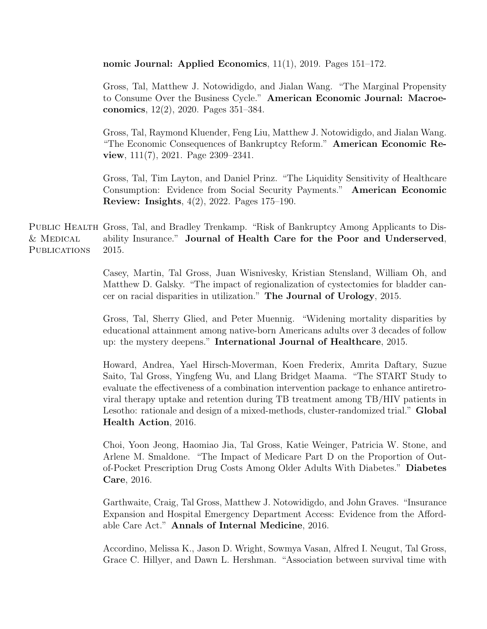nomic Journal: Applied Economics, 11(1), 2019. Pages 151–172.

Gross, Tal, Matthew J. Notowidigdo, and Jialan Wang. "The Marginal Propensity to Consume Over the Business Cycle." American Economic Journal: Macroeconomics, 12(2), 2020. Pages 351–384.

Gross, Tal, Raymond Kluender, Feng Liu, Matthew J. Notowidigdo, and Jialan Wang. "The Economic Consequences of Bankruptcy Reform." American Economic Review, 111(7), 2021. Page 2309–2341.

Gross, Tal, Tim Layton, and Daniel Prinz. "The Liquidity Sensitivity of Healthcare Consumption: Evidence from Social Security Payments." American Economic Review: Insights, 4(2), 2022. Pages 175–190.

PUBLIC HEALTH Gross, Tal, and Bradley Trenkamp. "Risk of Bankruptcy Among Applicants to Dis- $\&$  Medical **PUBLICATIONS** ability Insurance." Journal of Health Care for the Poor and Underserved, 2015.

> Casey, Martin, Tal Gross, Juan Wisnivesky, Kristian Stensland, William Oh, and Matthew D. Galsky. "The impact of regionalization of cystectomies for bladder cancer on racial disparities in utilization." The Journal of Urology, 2015.

> Gross, Tal, Sherry Glied, and Peter Muennig. "Widening mortality disparities by educational attainment among native-born Americans adults over 3 decades of follow up: the mystery deepens." International Journal of Healthcare, 2015.

> Howard, Andrea, Yael Hirsch-Moverman, Koen Frederix, Amrita Daftary, Suzue Saito, Tal Gross, Yingfeng Wu, and Llang Bridget Maama. "The START Study to evaluate the effectiveness of a combination intervention package to enhance antiretroviral therapy uptake and retention during TB treatment among TB/HIV patients in Lesotho: rationale and design of a mixed-methods, cluster-randomized trial." **Global** Health Action, 2016.

> Choi, Yoon Jeong, Haomiao Jia, Tal Gross, Katie Weinger, Patricia W. Stone, and Arlene M. Smaldone. "The Impact of Medicare Part D on the Proportion of Outof-Pocket Prescription Drug Costs Among Older Adults With Diabetes." Diabetes Care, 2016.

> Garthwaite, Craig, Tal Gross, Matthew J. Notowidigdo, and John Graves. "Insurance Expansion and Hospital Emergency Department Access: Evidence from the Affordable Care Act." Annals of Internal Medicine, 2016.

> Accordino, Melissa K., Jason D. Wright, Sowmya Vasan, Alfred I. Neugut, Tal Gross, Grace C. Hillyer, and Dawn L. Hershman. "Association between survival time with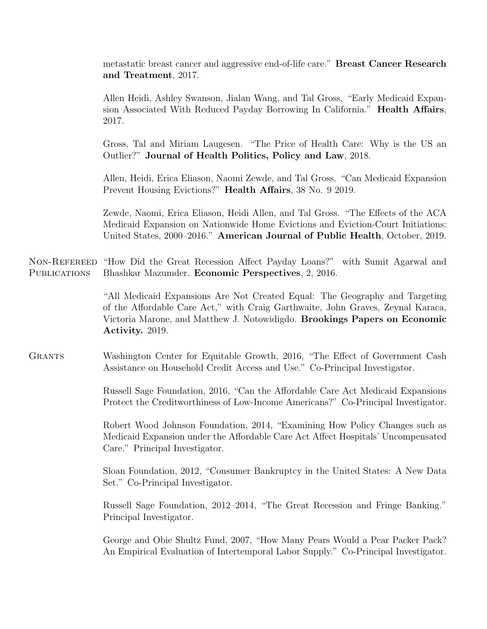|                              | metastatic breast cancer and aggressive end-of-life care." Breast Cancer Research<br>and Treatment, 2017.                                                                                                                                                      |
|------------------------------|----------------------------------------------------------------------------------------------------------------------------------------------------------------------------------------------------------------------------------------------------------------|
|                              | Allen Heidi, Ashley Swanson, Jialan Wang, and Tal Gross. "Early Medicaid Expan-<br>sion Associated With Reduced Payday Borrowing In California." Health Affairs,<br>2017.                                                                                      |
|                              | Gross, Tal and Miriam Laugesen. "The Price of Health Care: Why is the US an<br>Outlier?" Journal of Health Politics, Policy and Law, 2018.                                                                                                                     |
|                              | Allen, Heidi, Erica Eliason, Naomi Zewde, and Tal Gross. "Can Medicaid Expansion<br>Prevent Housing Evictions?" Health Affairs, 38 No. 9 2019.                                                                                                                 |
|                              | Zewde, Naomi, Erica Eliason, Heidi Allen, and Tal Gross. "The Effects of the ACA<br>Medicaid Expansion on Nationwide Home Evictions and Eviction-Court Initiations:<br>United States, 2000–2016." American Journal of Public Health, October, 2019.            |
| NON-REFEREED<br>PUBLICATIONS | "How Did the Great Recession Affect Payday Loans?" with Sumit Agarwal and<br>Bhashkar Mazumder. Economic Perspectives, 2, 2016.                                                                                                                                |
|                              | "All Medicaid Expansions Are Not Created Equal: The Geography and Targeting<br>of the Affordable Care Act," with Craig Garthwaite, John Graves, Zeynal Karaca,<br>Victoria Marone, and Matthew J. Notowidigdo. Brookings Papers on Economic<br>Activity. 2019. |
| <b>GRANTS</b>                | Washington Center for Equitable Growth, 2016, "The Effect of Government Cash"<br>Assistance on Household Credit Access and Use." Co-Principal Investigator.                                                                                                    |
|                              | Russell Sage Foundation, 2016, "Can the Affordable Care Act Medicaid Expansions<br>Protect the Creditworthiness of Low-Income Americans?" Co-Principal Investigator.                                                                                           |
|                              | Robert Wood Johnson Foundation, 2014, "Examining How Policy Changes such as<br>Medicaid Expansion under the Affordable Care Act Affect Hospitals' Uncompensated<br>Care." Principal Investigator.                                                              |
|                              | Sloan Foundation, 2012, "Consumer Bankruptcy in the United States: A New Data<br>Set." Co-Principal Investigator.                                                                                                                                              |
|                              | Russell Sage Foundation, 2012–2014, "The Great Recession and Fringe Banking."<br>Principal Investigator.                                                                                                                                                       |
|                              | George and Obie Shultz Fund, 2007, "How Many Pears Would a Pear Packer Pack?<br>An Empirical Evaluation of Intertemporal Labor Supply." Co-Principal Investigator.                                                                                             |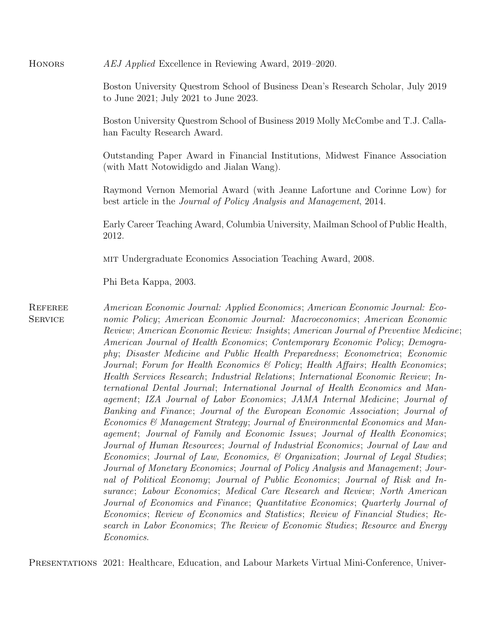Honors AEJ Applied Excellence in Reviewing Award, 2019–2020.

Boston University Questrom School of Business Dean's Research Scholar, July 2019 to June 2021; July 2021 to June 2023.

Boston University Questrom School of Business 2019 Molly McCombe and T.J. Callahan Faculty Research Award.

Outstanding Paper Award in Financial Institutions, Midwest Finance Association (with Matt Notowidigdo and Jialan Wang).

Raymond Vernon Memorial Award (with Jeanne Lafortune and Corinne Low) for best article in the Journal of Policy Analysis and Management, 2014.

Early Career Teaching Award, Columbia University, Mailman School of Public Health, 2012.

mit Undergraduate Economics Association Teaching Award, 2008.

Phi Beta Kappa, 2003.

**REFEREE SERVICE** 

American Economic Journal: Applied Economics; American Economic Journal: Economic Policy; American Economic Journal: Macroeconomics; American Economic Review; American Economic Review: Insights; American Journal of Preventive Medicine; American Journal of Health Economics; Contemporary Economic Policy; Demography; Disaster Medicine and Public Health Preparedness; Econometrica; Economic Journal; Forum for Health Economics & Policy; Health Affairs; Health Economics; Health Services Research; Industrial Relations; International Economic Review; International Dental Journal; International Journal of Health Economics and Management; IZA Journal of Labor Economics; JAMA Internal Medicine; Journal of Banking and Finance; Journal of the European Economic Association; Journal of Economics & Management Strategy; Journal of Environmental Economics and Management; Journal of Family and Economic Issues; Journal of Health Economics; Journal of Human Resources; Journal of Industrial Economics; Journal of Law and Economics; Journal of Law, Economics, & Organization; Journal of Legal Studies; Journal of Monetary Economics; Journal of Policy Analysis and Management; Journal of Political Economy; Journal of Public Economics; Journal of Risk and Insurance; Labour Economics; Medical Care Research and Review; North American Journal of Economics and Finance; Quantitative Economics; Quarterly Journal of Economics; Review of Economics and Statistics; Review of Financial Studies; Research in Labor Economics; The Review of Economic Studies; Resource and Energy Economics.

Presentations 2021: Healthcare, Education, and Labour Markets Virtual Mini-Conference, Univer-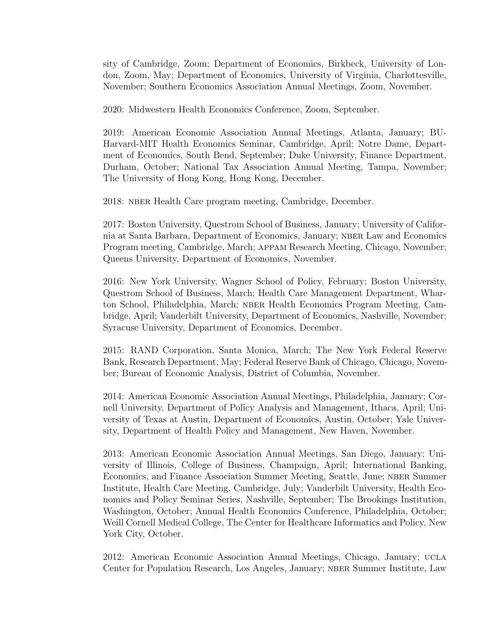sity of Cambridge, Zoom; Department of Economics, Birkbeck, University of London, Zoom, May; Department of Economics, University of Virginia, Charlottesville, November; Southern Economics Association Annual Meetings, Zoom, November.

2020: Midwestern Health Economics Conference, Zoom, September.

2019: American Economic Association Annual Meetings, Atlanta, January; BU-Harvard-MIT Health Economics Seminar, Cambridge, April; Notre Dame, Department of Economics, South Bend, September; Duke University, Finance Department, Durham, October; National Tax Association Annual Meeting, Tampa, November; The University of Hong Kong, Hong Kong, December.

2018: NBER Health Care program meeting, Cambridge, December.

2017: Boston University, Questrom School of Business, January; University of California at Santa Barbara, Department of Economics, January; nber Law and Economics Program meeting, Cambridge, March; appam Research Meeting, Chicago, November; Queens University, Department of Economics, November.

2016: New York University, Wagner School of Policy, February; Boston University, Questrom School of Business, March; Health Care Management Department, Wharton School, Philadelphia, March; NBER Health Economics Program Meeting, Cambridge, April; Vanderbilt University, Department of Economics, Nashville, November; Syracuse University, Department of Economics, December.

2015: RAND Corporation, Santa Monica, March; The New York Federal Reserve Bank, Research Department, May; Federal Reserve Bank of Chicago, Chicago, November; Bureau of Economic Analysis, District of Columbia, November.

2014: American Economic Association Annual Meetings, Philadelphia, January; Cornell University, Department of Policy Analysis and Management, Ithaca, April; University of Texas at Austin, Department of Economics, Austin, October; Yale University, Department of Health Policy and Management, New Haven, November.

2013: American Economic Association Annual Meetings, San Diego, January; University of Illinois, College of Business, Champaign, April; International Banking, Economics, and Finance Association Summer Meeting, Seattle, June; NBER Summer Institute, Health Care Meeting, Cambridge, July; Vanderbilt University, Health Economics and Policy Seminar Series, Nashville, September; The Brookings Institution, Washington, October; Annual Health Economics Conference, Philadelphia, October; Weill Cornell Medical College, The Center for Healthcare Informatics and Policy, New York City, October.

2012: American Economic Association Annual Meetings, Chicago, January; ucla Center for Population Research, Los Angeles, January; NBER Summer Institute, Law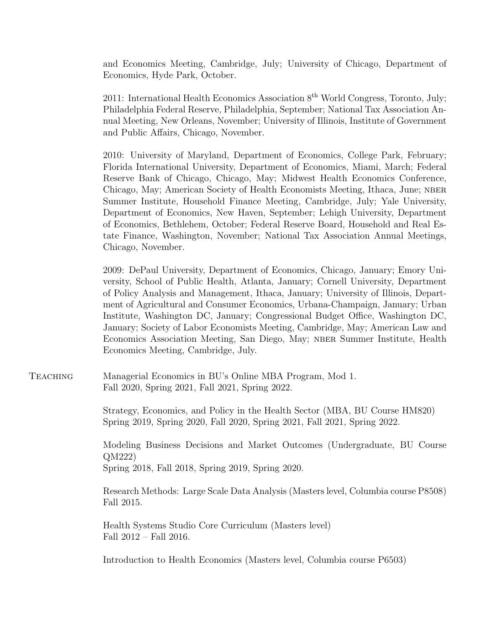and Economics Meeting, Cambridge, July; University of Chicago, Department of Economics, Hyde Park, October.

2011: International Health Economics Association 8th World Congress, Toronto, July; Philadelphia Federal Reserve, Philadelphia, September; National Tax Association Annual Meeting, New Orleans, November; University of Illinois, Institute of Government and Public Affairs, Chicago, November.

2010: University of Maryland, Department of Economics, College Park, February; Florida International University, Department of Economics, Miami, March; Federal Reserve Bank of Chicago, Chicago, May; Midwest Health Economics Conference, Chicago, May; American Society of Health Economists Meeting, Ithaca, June; NBER Summer Institute, Household Finance Meeting, Cambridge, July; Yale University, Department of Economics, New Haven, September; Lehigh University, Department of Economics, Bethlehem, October; Federal Reserve Board, Household and Real Estate Finance, Washington, November; National Tax Association Annual Meetings, Chicago, November.

2009: DePaul University, Department of Economics, Chicago, January; Emory University, School of Public Health, Atlanta, January; Cornell University, Department of Policy Analysis and Management, Ithaca, January; University of Illinois, Department of Agricultural and Consumer Economics, Urbana-Champaign, January; Urban Institute, Washington DC, January; Congressional Budget Office, Washington DC, January; Society of Labor Economists Meeting, Cambridge, May; American Law and Economics Association Meeting, San Diego, May; NBER Summer Institute, Health Economics Meeting, Cambridge, July.

Teaching Managerial Economics in BU's Online MBA Program, Mod 1. Fall 2020, Spring 2021, Fall 2021, Spring 2022.

> Strategy, Economics, and Policy in the Health Sector (MBA, BU Course HM820) Spring 2019, Spring 2020, Fall 2020, Spring 2021, Fall 2021, Spring 2022.

Modeling Business Decisions and Market Outcomes (Undergraduate, BU Course QM222) Spring 2018, Fall 2018, Spring 2019, Spring 2020.

Research Methods: Large Scale Data Analysis (Masters level, Columbia course P8508) Fall 2015.

Health Systems Studio Core Curriculum (Masters level) Fall 2012 – Fall 2016.

Introduction to Health Economics (Masters level, Columbia course P6503)